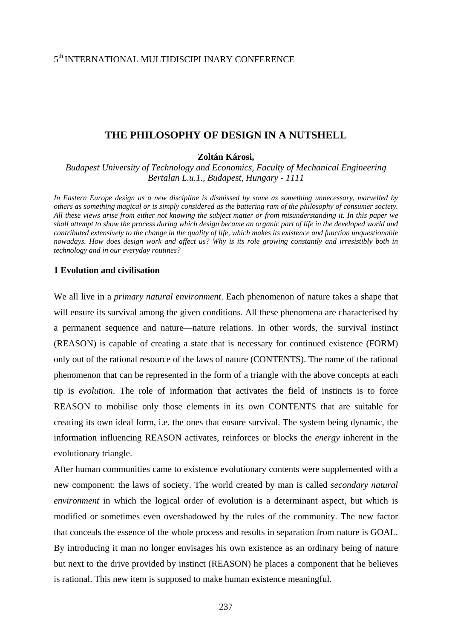## **THE PHILOSOPHY OF DESIGN IN A NUTSHELL**

**Zoltán Károsi,** 

*Budapest University of Technology and Economics, Faculty of Mechanical Engineering Bertalan L.u.1., Budapest, Hungary - 1111* 

*In Eastern Europe design as a new discipline is dismissed by some as something unnecessary, marvelled by others as something magical or is simply considered as the battering ram of the philosophy of consumer society. All these views arise from either not knowing the subject matter or from misunderstanding it. In this paper we shall attempt to show the process during which design became an organic part of life in the developed world and contributed extensively to the change in the quality of life, which makes its existence and function unquestionable nowadays. How does design work and affect us? Why is its role growing constantly and irresistibly both in technology and in our everyday routines?* 

## **1 Evolution and civilisation**

We all live in a *primary natural environment*. Each phenomenon of nature takes a shape that will ensure its survival among the given conditions. All these phenomena are characterised by a permanent sequence and nature—nature relations. In other words, the survival instinct (REASON) is capable of creating a state that is necessary for continued existence (FORM) only out of the rational resource of the laws of nature (CONTENTS). The name of the rational phenomenon that can be represented in the form of a triangle with the above concepts at each tip is *evolution*. The role of information that activates the field of instincts is to force REASON to mobilise only those elements in its own CONTENTS that are suitable for creating its own ideal form, i.e. the ones that ensure survival. The system being dynamic, the information influencing REASON activates, reinforces or blocks the *energy* inherent in the evolutionary triangle.

After human communities came to existence evolutionary contents were supplemented with a new component: the laws of society. The world created by man is called *secondary natural environment* in which the logical order of evolution is a determinant aspect, but which is modified or sometimes even overshadowed by the rules of the community. The new factor that conceals the essence of the whole process and results in separation from nature is GOAL. By introducing it man no longer envisages his own existence as an ordinary being of nature but next to the drive provided by instinct (REASON) he places a component that he believes is rational. This new item is supposed to make human existence meaningful.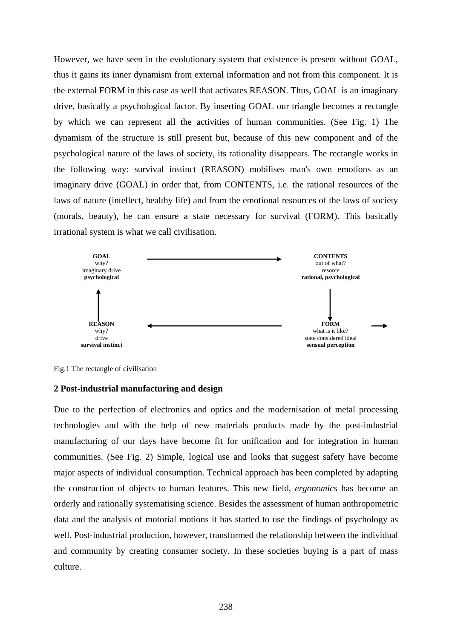However, we have seen in the evolutionary system that existence is present without GOAL, thus it gains its inner dynamism from external information and not from this component. It is the external FORM in this case as well that activates REASON. Thus, GOAL is an imaginary drive, basically a psychological factor. By inserting GOAL our triangle becomes a rectangle by which we can represent all the activities of human communities. (See Fig. 1) The dynamism of the structure is still present but, because of this new component and of the psychological nature of the laws of society, its rationality disappears. The rectangle works in the following way: survival instinct (REASON) mobilises man's own emotions as an imaginary drive (GOAL) in order that, from CONTENTS, i.e. the rational resources of the laws of nature (intellect, healthy life) and from the emotional resources of the laws of society (morals, beauty), he can ensure a state necessary for survival (FORM). This basically irrational system is what we call civilisation.



Fig.1 The rectangle of civilisation

## **2 Post-industrial manufacturing and design**

Due to the perfection of electronics and optics and the modernisation of metal processing technologies and with the help of new materials products made by the post-industrial manufacturing of our days have become fit for unification and for integration in human communities. (See Fig. 2) Simple, logical use and looks that suggest safety have become major aspects of individual consumption. Technical approach has been completed by adapting the construction of objects to human features. This new field, *ergonomics* has become an orderly and rationally systematising science. Besides the assessment of human anthropometric data and the analysis of motorial motions it has started to use the findings of psychology as well. Post-industrial production, however, transformed the relationship between the individual and community by creating consumer society. In these societies buying is a part of mass culture.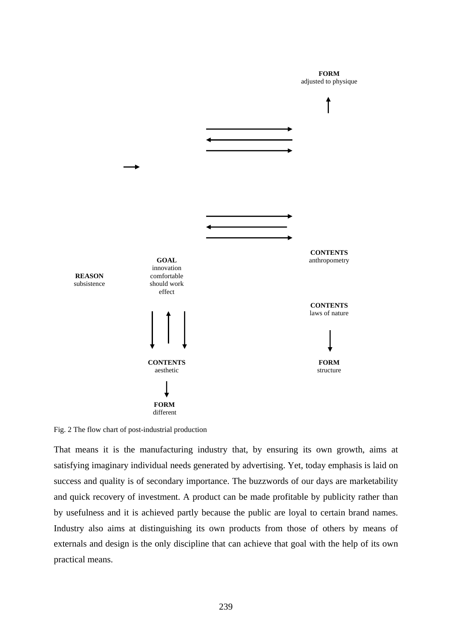**FORM**  adjusted to physique



Fig. 2 The flow chart of post-industrial production

That means it is the manufacturing industry that, by ensuring its own growth, aims at satisfying imaginary individual needs generated by advertising. Yet, today emphasis is laid on success and quality is of secondary importance. The buzzwords of our days are marketability and quick recovery of investment. A product can be made profitable by publicity rather than by usefulness and it is achieved partly because the public are loyal to certain brand names. Industry also aims at distinguishing its own products from those of others by means of externals and design is the only discipline that can achieve that goal with the help of its own practical means.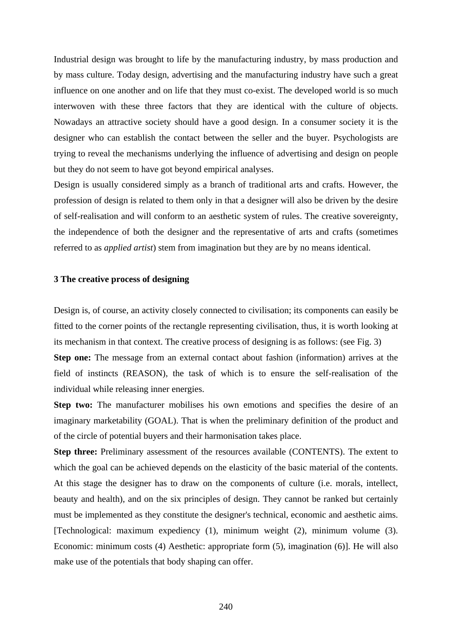Industrial design was brought to life by the manufacturing industry, by mass production and by mass culture. Today design, advertising and the manufacturing industry have such a great influence on one another and on life that they must co-exist. The developed world is so much interwoven with these three factors that they are identical with the culture of objects. Nowadays an attractive society should have a good design. In a consumer society it is the designer who can establish the contact between the seller and the buyer. Psychologists are trying to reveal the mechanisms underlying the influence of advertising and design on people but they do not seem to have got beyond empirical analyses.

Design is usually considered simply as a branch of traditional arts and crafts. However, the profession of design is related to them only in that a designer will also be driven by the desire of self-realisation and will conform to an aesthetic system of rules. The creative sovereignty, the independence of both the designer and the representative of arts and crafts (sometimes referred to as *applied artist*) stem from imagination but they are by no means identical.

## **3 The creative process of designing**

Design is, of course, an activity closely connected to civilisation; its components can easily be fitted to the corner points of the rectangle representing civilisation, thus, it is worth looking at its mechanism in that context. The creative process of designing is as follows: (see Fig. 3) **Step one:** The message from an external contact about fashion (information) arrives at the

field of instincts (REASON), the task of which is to ensure the self-realisation of the individual while releasing inner energies.

**Step two:** The manufacturer mobilises his own emotions and specifies the desire of an imaginary marketability (GOAL). That is when the preliminary definition of the product and of the circle of potential buyers and their harmonisation takes place.

**Step three:** Preliminary assessment of the resources available (CONTENTS). The extent to which the goal can be achieved depends on the elasticity of the basic material of the contents. At this stage the designer has to draw on the components of culture (i.e. morals, intellect, beauty and health), and on the six principles of design. They cannot be ranked but certainly must be implemented as they constitute the designer's technical, economic and aesthetic aims. [Technological: maximum expediency (1), minimum weight (2), minimum volume (3). Economic: minimum costs (4) Aesthetic: appropriate form (5), imagination (6)]. He will also make use of the potentials that body shaping can offer.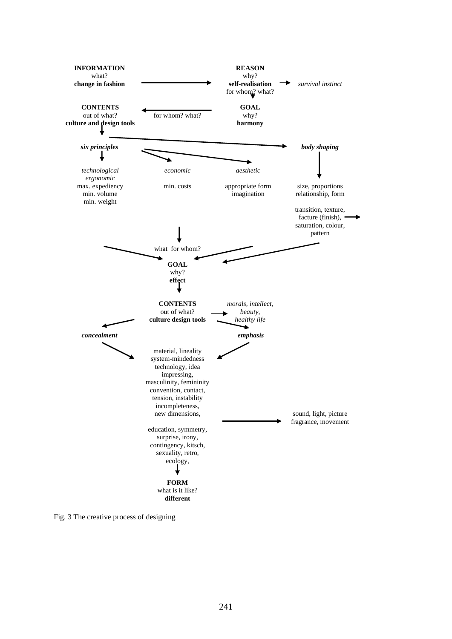

Fig. 3 The creative process of designing